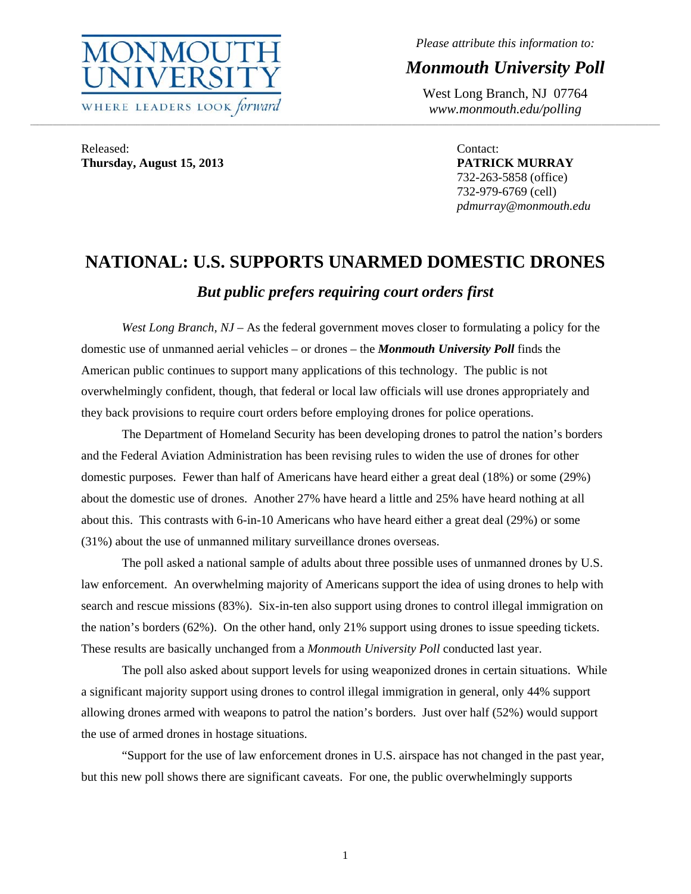

*Please attribute this information to:* 

*Monmouth University Poll* 

West Long Branch, NJ 07764 *www.monmouth.edu/polling* 

Released: **Thursday, August 15, 2013** 

Contact: **PATRICK MURRAY**  732-263-5858 (office) 732-979-6769 (cell) *pdmurray@monmouth.edu* 

# **NATIONAL: U.S. SUPPORTS UNARMED DOMESTIC DRONES**  *But public prefers requiring court orders first*

,我们就会不能让我们的事情。""我们的事情,我们也不能不能让我们的事情。""我们的事情,我们就会不能让我们的事情。""我们的事情,我们的事情,我们就会不能让我们

*West Long Branch, NJ* – As the federal government moves closer to formulating a policy for the domestic use of unmanned aerial vehicles – or drones – the *Monmouth University Poll* finds the American public continues to support many applications of this technology. The public is not overwhelmingly confident, though, that federal or local law officials will use drones appropriately and they back provisions to require court orders before employing drones for police operations.

 The Department of Homeland Security has been developing drones to patrol the nation's borders and the Federal Aviation Administration has been revising rules to widen the use of drones for other domestic purposes. Fewer than half of Americans have heard either a great deal (18%) or some (29%) about the domestic use of drones. Another 27% have heard a little and 25% have heard nothing at all about this. This contrasts with 6-in-10 Americans who have heard either a great deal (29%) or some (31%) about the use of unmanned military surveillance drones overseas.

 The poll asked a national sample of adults about three possible uses of unmanned drones by U.S. law enforcement. An overwhelming majority of Americans support the idea of using drones to help with search and rescue missions (83%). Six-in-ten also support using drones to control illegal immigration on the nation's borders (62%). On the other hand, only 21% support using drones to issue speeding tickets. These results are basically unchanged from a *Monmouth University Poll* conducted last year.

 The poll also asked about support levels for using weaponized drones in certain situations. While a significant majority support using drones to control illegal immigration in general, only 44% support allowing drones armed with weapons to patrol the nation's borders. Just over half (52%) would support the use of armed drones in hostage situations.

 "Support for the use of law enforcement drones in U.S. airspace has not changed in the past year, but this new poll shows there are significant caveats. For one, the public overwhelmingly supports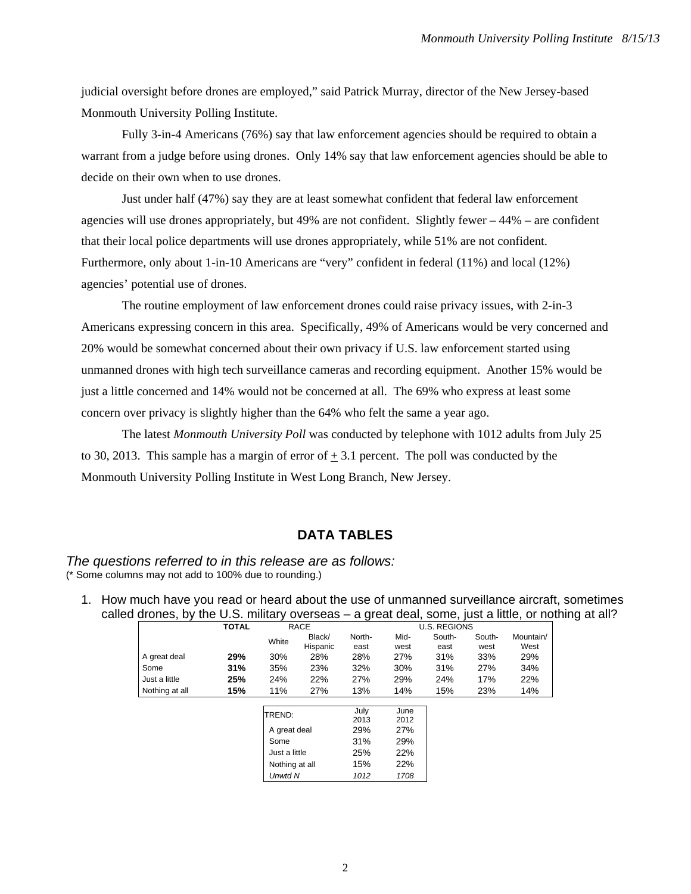judicial oversight before drones are employed," said Patrick Murray, director of the New Jersey-based Monmouth University Polling Institute.

 Fully 3-in-4 Americans (76%) say that law enforcement agencies should be required to obtain a warrant from a judge before using drones. Only 14% say that law enforcement agencies should be able to decide on their own when to use drones.

 Just under half (47%) say they are at least somewhat confident that federal law enforcement agencies will use drones appropriately, but  $49%$  are not confident. Slightly fewer  $-44%$  – are confident that their local police departments will use drones appropriately, while 51% are not confident. Furthermore, only about 1-in-10 Americans are "very" confident in federal (11%) and local (12%) agencies' potential use of drones.

 The routine employment of law enforcement drones could raise privacy issues, with 2-in-3 Americans expressing concern in this area. Specifically, 49% of Americans would be very concerned and 20% would be somewhat concerned about their own privacy if U.S. law enforcement started using unmanned drones with high tech surveillance cameras and recording equipment. Another 15% would be just a little concerned and 14% would not be concerned at all. The 69% who express at least some concern over privacy is slightly higher than the 64% who felt the same a year ago.

The latest *Monmouth University Poll* was conducted by telephone with 1012 adults from July 25 to 30, 2013. This sample has a margin of error of  $+3.1$  percent. The poll was conducted by the Monmouth University Polling Institute in West Long Branch, New Jersey.

## **DATA TABLES**

#### *The questions referred to in this release are as follows:*  (\* Some columns may not add to 100% due to rounding.)

1. How much have you read or heard about the use of unmanned surveillance aircraft, sometimes called drones, by the U.S. military overseas – a great deal, some, just a little, or nothing at all?

|                | <b>TOTAL</b> |                | <b>RACE</b> |        |      | <b>U.S. REGIONS</b> |        |           |
|----------------|--------------|----------------|-------------|--------|------|---------------------|--------|-----------|
|                |              | White          | Black/      | North- | Mid- | South-              | South- | Mountain/ |
|                |              |                | Hispanic    | east   | west | east                | west   | West      |
| A great deal   | 29%          | 30%            | 28%         | 28%    | 27%  | 31%                 | 33%    | 29%       |
| Some           | 31%          | 35%            | 23%         | 32%    | 30%  | 31%                 | 27%    | 34%       |
| Just a little  | 25%          | 24%            | 22%         | 27%    | 29%  | 24%                 | 17%    | 22%       |
| Nothing at all | 15%          | 11%            | 27%         | 13%    | 14%  | 15%                 | 23%    | 14%       |
|                |              |                |             |        |      |                     |        |           |
|                |              | TREND:         |             | July   | June |                     |        |           |
|                |              |                |             | 2013   | 2012 |                     |        |           |
|                |              | A great deal   |             | 29%    | 27%  |                     |        |           |
|                |              | Some           |             | 31%    | 29%  |                     |        |           |
|                |              | Just a little  |             | 25%    | 22%  |                     |        |           |
|                |              | Nothing at all |             | 15%    | 22%  |                     |        |           |
|                |              | Unwtd N        |             | 1012   | 1708 |                     |        |           |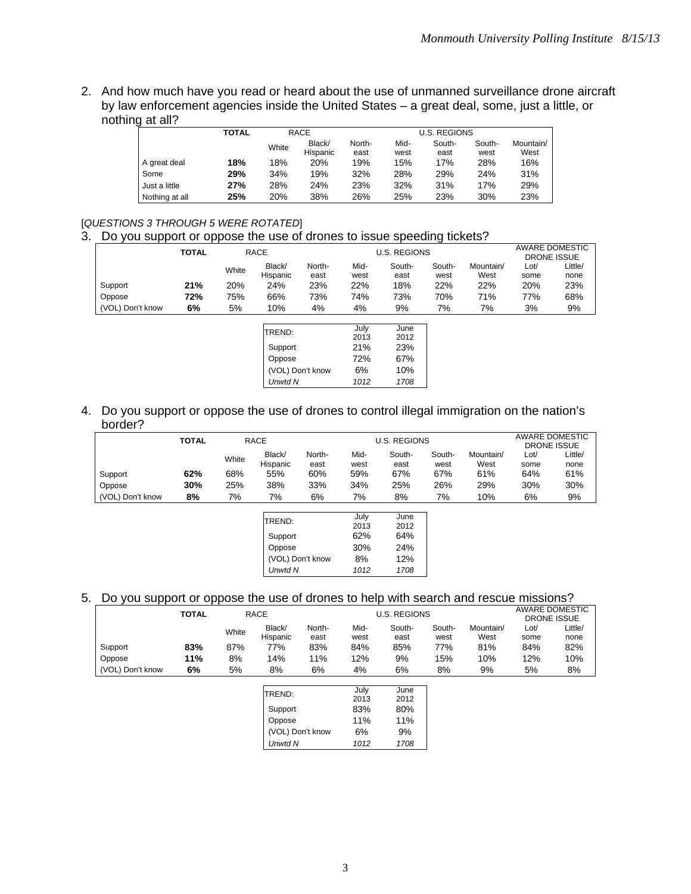2. And how much have you read or heard about the use of unmanned surveillance drone aircraft by law enforcement agencies inside the United States – a great deal, some, just a little, or nothing at all?

|                | <b>TOTAL</b> |       | RACE               |                |              | <b>U.S. REGIONS</b> |                |                   |
|----------------|--------------|-------|--------------------|----------------|--------------|---------------------|----------------|-------------------|
|                |              | White | Black/<br>Hispanic | North-<br>east | Mid-<br>west | South-<br>east      | South-<br>west | Mountain/<br>West |
| A great deal   | 18%          | 18%   | 20%                | 19%            | 15%          | 17%                 | 28%            | 16%               |
| Some           | 29%          | 34%   | 19%                | 32%            | 28%          | 29%                 | 24%            | 31%               |
| Just a little  | 27%          | 28%   | 24%                | 23%            | 32%          | 31%                 | 17%            | 29%               |
| Nothing at all | 25%          | 20%   | 38%                | 26%            | 25%          | 23%                 | 30%            | 23%               |

## [*QUESTIONS 3 THROUGH 5 WERE ROTATED*]

3. Do you support or oppose the use of drones to issue speeding tickets?

|                  | <b>TOTAL</b> |       | <b>RACE</b>                                   |                  |                                          | <b>U.S. REGIONS</b>                       |                |                   | AWARE DOMESTIC<br><b>DRONE ISSUE</b> |                 |  |
|------------------|--------------|-------|-----------------------------------------------|------------------|------------------------------------------|-------------------------------------------|----------------|-------------------|--------------------------------------|-----------------|--|
|                  |              | White | Black/<br>Hispanic                            | North-<br>east   | Mid-<br>west                             | South-<br>east                            | South-<br>west | Mountain/<br>West | Lot/<br>some                         | Little/<br>none |  |
| Support          | 21%          | 20%   | 24%                                           | 23%              | 22%                                      | 18%                                       | 22%            | 22%               | 20%                                  | 23%             |  |
| Oppose           | 72%          | 75%   | 66%                                           | 73%              | 74%                                      | 73%                                       | 70%            | 71%               | 77%                                  | 68%             |  |
| (VOL) Don't know | 6%           | 5%    | 10%                                           | 4%               | 4%                                       | 9%                                        | 7%             | 7%                | 3%                                   | 9%              |  |
|                  |              |       | <b>TREND:</b><br>Support<br>Oppose<br>Unwtd N | (VOL) Don't know | July<br>2013<br>21%<br>72%<br>6%<br>1012 | June<br>2012<br>23%<br>67%<br>10%<br>1708 |                |                   |                                      |                 |  |

4. Do you support or oppose the use of drones to control illegal immigration on the nation's border?

|                  | <b>TOTAL</b> |       | RACE               |                | <b>U.S. REGIONS</b> |                | AWARE DOMESTIC<br>DRONE ISSUE |                   |              |                 |
|------------------|--------------|-------|--------------------|----------------|---------------------|----------------|-------------------------------|-------------------|--------------|-----------------|
|                  |              | White | Black/<br>Hispanic | North-<br>east | Mid-<br>west        | South-<br>east | South-<br>west                | Mountain/<br>West | Lot/<br>some | Little/<br>none |
| Support          | 62%          | 68%   | 55%                | 60%            | 59%                 | 67%            | 67%                           | 61%               | 64%          | 61%             |
| Oppose           | 30%          | 25%   | 38%                | 33%            | 34%                 | 25%            | 26%                           | 29%               | 30%          | 30%             |
| (VOL) Don't know | 8%           | 7%    | 7%                 | 6%             | 7%                  | 8%             | 7%                            | 10%               | 6%           | 9%              |

| TREND:           | July | June |
|------------------|------|------|
|                  | 2013 | 2012 |
| Support          | 62%  | 64%  |
| Oppose           | 30%  | 24%  |
| (VOL) Don't know | 8%   | 12%  |
| <b>Unwtd N</b>   | 1012 | 1708 |

#### 5. Do you support or oppose the use of drones to help with search and rescue missions?

|                  | <b>TOTAL</b> |       | <b>RACE</b>        |                | U.S. REGIONS | AWARE DOMESTIC<br>DRONE ISSUE |                |                   |              |                 |
|------------------|--------------|-------|--------------------|----------------|--------------|-------------------------------|----------------|-------------------|--------------|-----------------|
|                  |              | White | Black/<br>Hispanic | North-<br>east | Mid-<br>west | South-<br>east                | South-<br>west | Mountain/<br>West | ∟ot/<br>some | Little/<br>none |
| Support          | 83%          | 87%   | 77%                | 83%            | 84%          | 85%                           | 77%            | 81%               | 84%          | 82%             |
| Oppose           | 11%          | 8%    | 14%                | 11%            | 12%          | 9%                            | 15%            | 10%               | 12%          | 10%             |
| (VOL) Don't know | 6%           | 5%    | 8%                 | 6%             | 4%           | 6%                            | 8%             | 9%                | 5%           | 8%              |

| TREND:           | July | June |
|------------------|------|------|
|                  | 2013 | 2012 |
| Support          | 83%  | 80%  |
| Oppose           | 11%  | 11%  |
| (VOL) Don't know | 6%   | 9%   |
| <b>Unwtd N</b>   | 1012 | 1708 |
|                  |      |      |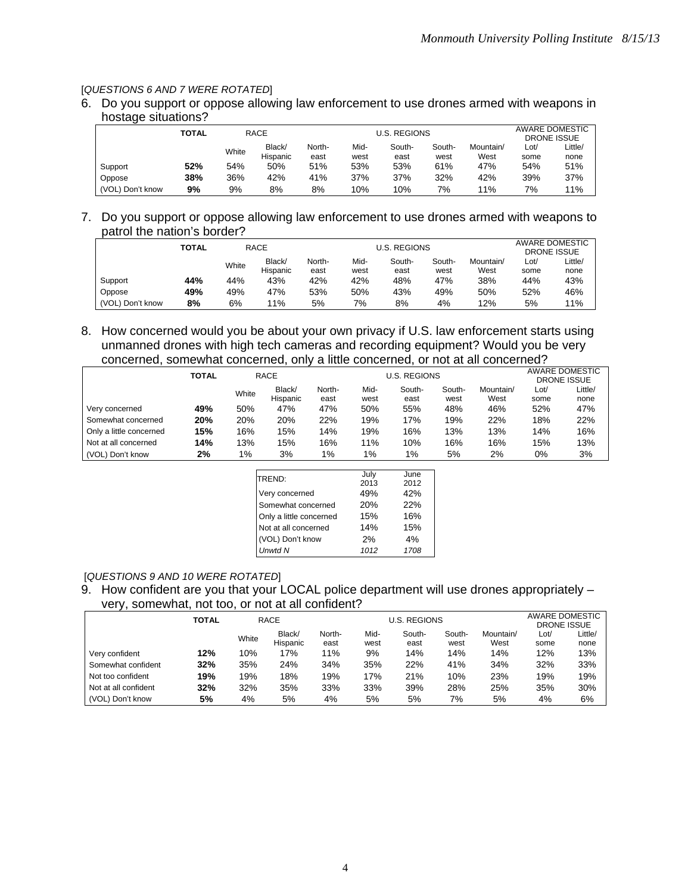#### [*QUESTIONS 6 AND 7 WERE ROTATED*]

6. Do you support or oppose allowing law enforcement to use drones armed with weapons in hostage situations?

|                  | TOTAL |       | RACE               |                | <b>U.S. REGIONS</b> | AWARE DOMESTIC<br>DRONE ISSUE |                |                   |              |                 |
|------------------|-------|-------|--------------------|----------------|---------------------|-------------------------------|----------------|-------------------|--------------|-----------------|
|                  |       | White | Black/<br>Hispanic | North-<br>east | Mid-<br>west        | South-<br>east                | South-<br>west | Mountain/<br>West | ∟ot/<br>some | Little/<br>none |
| Support          | 52%   | 54%   | 50%                | 51%            | 53%                 | 53%                           | 61%            | 47%               | 54%          | 51%             |
| Oppose           | 38%   | 36%   | 42%                | 41%            | 37%                 | 37%                           | 32%            | 42%               | 39%          | 37%             |
| (VOL) Don't know | 9%    | 9%    | 8%                 | 8%             | 10%                 | 10%                           | 7%             | 11%               | 7%           | 11%             |

7. Do you support or oppose allowing law enforcement to use drones armed with weapons to patrol the nation's border?

|                  | TOTAL |       | RACE               |                | <b>U.S. REGIONS</b> |                | AWARE DOMESTIC<br>DRONE ISSUE |                   |              |                 |
|------------------|-------|-------|--------------------|----------------|---------------------|----------------|-------------------------------|-------------------|--------------|-----------------|
|                  |       | White | Black/<br>Hispanic | North-<br>east | Mid-<br>west        | South-<br>east | South-<br>west                | Mountain/<br>West | Lot/<br>some | Little/<br>none |
| Support          | 44%   | 44%   | 43%                | 42%            | 42%                 | 48%            | 47%                           | 38%               | 44%          | 43%             |
| Oppose           | 49%   | 49%   | 47%                | 53%            | 50%                 | 43%            | 49%                           | 50%               | 52%          | 46%             |
| (VOL) Don't know | 8%    | 6%    | 11%                | 5%             | 7%                  | 8%             | 4%                            | 12%               | 5%           | 11%             |

8. How concerned would you be about your own privacy if U.S. law enforcement starts using unmanned drones with high tech cameras and recording equipment? Would you be very concerned, somewhat concerned, only a little concerned, or not at all concerned?

|                         | TOTAL |       | <b>RACE</b>        |                | <b>U.S. REGIONS</b> | AWARE DOMESTIC<br>DRONE ISSUE |                |                   |              |                 |
|-------------------------|-------|-------|--------------------|----------------|---------------------|-------------------------------|----------------|-------------------|--------------|-----------------|
|                         |       | White | Black/<br>Hispanic | North-<br>east | Mid-<br>west        | South-<br>east                | South-<br>west | Mountain/<br>West | ∟ot/<br>some | Little/<br>none |
| Very concerned          | 49%   | 50%   | 47%                | 47%            | 50%                 | 55%                           | 48%            | 46%               | 52%          | 47%             |
| Somewhat concerned      | 20%   | 20%   | 20%                | 22%            | 19%                 | 17%                           | 19%            | 22%               | 18%          | 22%             |
| Only a little concerned | 15%   | 16%   | 15%                | 14%            | 19%                 | 16%                           | 13%            | 13%               | 14%          | 16%             |
| Not at all concerned    | 14%   | 13%   | 15%                | 16%            | 11%                 | 10%                           | 16%            | 16%               | 15%          | 13%             |
| (VOL) Don't know        | 2%    | $1\%$ | 3%                 | $1\%$          | $1\%$               | $1\%$                         | 5%             | 2%                | 0%           | 3%              |

| TREND:                  | July | June |
|-------------------------|------|------|
|                         | 2013 | 2012 |
| Very concerned          | 49%  | 42%  |
| Somewhat concerned      | 20%  | 22%  |
| Only a little concerned | 15%  | 16%  |
| Not at all concerned    | 14%  | 15%  |
| (VOL) Don't know        | 2%   | 4%   |
| <b>Unwtd N</b>          | 1012 | 1708 |

### [*QUESTIONS 9 AND 10 WERE ROTATED*]

9. How confident are you that your LOCAL police department will use drones appropriately – very, somewhat, not too, or not at all confident?

|                      | TOTAL |       | RACE               |                | <b>U.S. REGIONS</b> |                | AWARE DOMESTIC<br><b>DRONE ISSUE</b> |                   |              |                 |
|----------------------|-------|-------|--------------------|----------------|---------------------|----------------|--------------------------------------|-------------------|--------------|-----------------|
|                      |       | White | Black/<br>Hispanic | North-<br>east | Mid-<br>west        | South-<br>east | South-<br>west                       | Mountain/<br>West | Lot/<br>some | Little/<br>none |
| Very confident       | 12%   | 10%   | 17%                | 11%            | 9%                  | 14%            | 14%                                  | 14%               | 12%          | 13%             |
| Somewhat confident   | 32%   | 35%   | 24%                | 34%            | 35%                 | 22%            | 41%                                  | 34%               | 32%          | 33%             |
| Not too confident    | 19%   | 19%   | 18%                | 19%            | 17%                 | 21%            | 10%                                  | 23%               | 19%          | 19%             |
| Not at all confident | 32%   | 32%   | 35%                | 33%            | 33%                 | 39%            | 28%                                  | 25%               | 35%          | 30%             |
| (VOL) Don't know     | 5%    | 4%    | 5%                 | 4%             | 5%                  | 5%             | 7%                                   | 5%                | 4%           | 6%              |